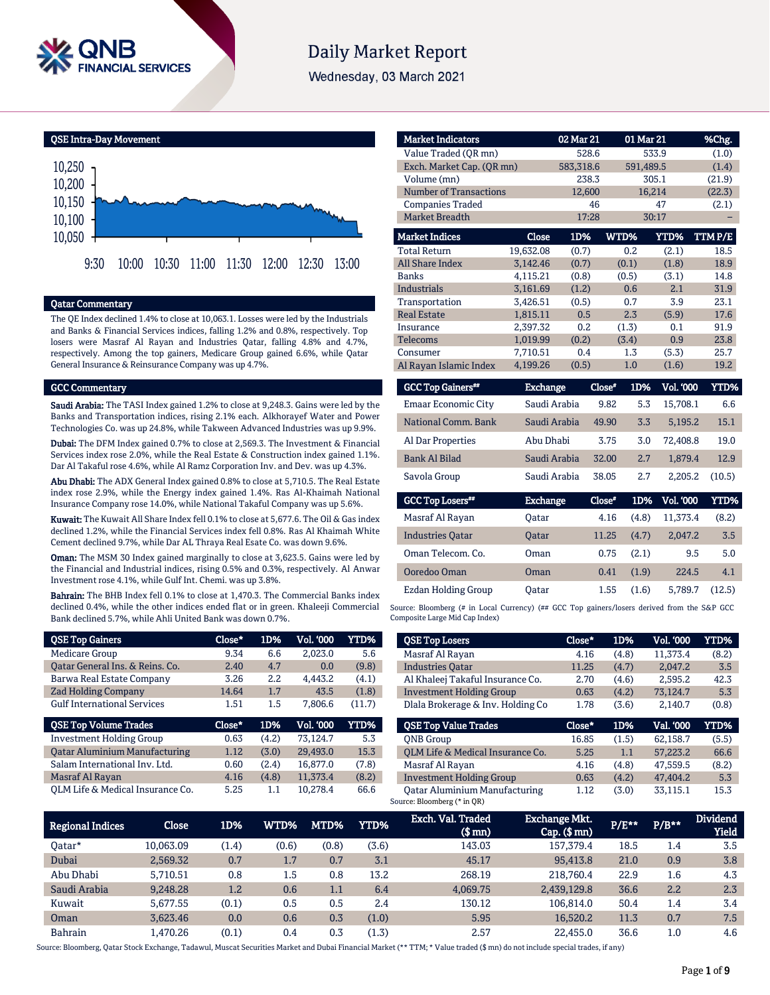

# **Daily Market Report**

Wednesday, 03 March 2021

QSE Intra-Day Movement



# Qatar Commentary

The QE Index declined 1.4% to close at 10,063.1. Losses were led by the Industrials and Banks & Financial Services indices, falling 1.2% and 0.8%, respectively. Top losers were Masraf Al Rayan and Industries Qatar, falling 4.8% and 4.7%, respectively. Among the top gainers, Medicare Group gained 6.6%, while Qatar General Insurance & Reinsurance Company was up 4.7%.

### GCC Commentary

Saudi Arabia: The TASI Index gained 1.2% to close at 9,248.3. Gains were led by the Banks and Transportation indices, rising 2.1% each. Alkhorayef Water and Power Technologies Co. was up 24.8%, while Takween Advanced Industries was up 9.9%.

Dubai: The DFM Index gained 0.7% to close at 2,569.3. The Investment & Financial Services index rose 2.0%, while the Real Estate & Construction index gained 1.1%. Dar Al Takaful rose 4.6%, while Al Ramz Corporation Inv. and Dev. was up 4.3%.

Abu Dhabi: The ADX General Index gained 0.8% to close at 5,710.5. The Real Estate index rose 2.9%, while the Energy index gained 1.4%. Ras Al-Khaimah National Insurance Company rose 14.0%, while National Takaful Company was up 5.6%.

Kuwait: The Kuwait All Share Index fell 0.1% to close at 5,677.6. The Oil & Gas index declined 1.2%, while the Financial Services index fell 0.8%. Ras Al Khaimah White Cement declined 9.7%, while Dar AL Thraya Real Esate Co. was down 9.6%.

**Oman:** The MSM 30 Index gained marginally to close at 3,623.5. Gains were led by the Financial and Industrial indices, rising 0.5% and 0.3%, respectively. Al Anwar Investment rose 4.1%, while Gulf Int. Chemi. was up 3.8%.

Bahrain: The BHB Index fell 0.1% to close at 1,470.3. The Commercial Banks index declined 0.4%, while the other indices ended flat or in green. Khaleeji Commercial Bank declined 5.7%, while Ahli United Bank was down 0.7%.

| <b>QSE Top Gainers</b>               | Close* | 1D%   | Vol. '000 | <b>YTD%</b> |
|--------------------------------------|--------|-------|-----------|-------------|
| <b>Medicare Group</b>                | 9.34   | 6.6   | 2,023.0   | 5.6         |
| Oatar General Ins. & Reins. Co.      | 2.40   | 4.7   | 0.0       | (9.8)       |
| Barwa Real Estate Company            | 3.26   | 2.2   | 4.443.2   | (4.1)       |
| <b>Zad Holding Company</b>           | 14.64  | 1.7   | 43.5      | (1.8)       |
| <b>Gulf International Services</b>   | 1.51   | 1.5   | 7.806.6   | (11.7)      |
|                                      |        |       |           |             |
| <b>QSE Top Volume Trades</b>         | Close* | 1D%   | Vol. '000 | YTD%        |
| <b>Investment Holding Group</b>      | 0.63   | (4.2) | 73.124.7  | 5.3         |
| <b>Qatar Aluminium Manufacturing</b> | 1.12   | (3.0) | 29.493.0  | 15.3        |
| Salam International Inv. Ltd.        | 0.60   | (2.4) | 16.877.0  | (7.8)       |
| Masraf Al Rayan                      | 4.16   | (4.8) | 11.373.4  | (8.2)       |

| <b>Market Indicators</b>      |                 | 02 Mar 21 |          | 01 Mar 21 |             | %Chg.  |
|-------------------------------|-----------------|-----------|----------|-----------|-------------|--------|
| Value Traded (QR mn)          |                 | 528.6     |          |           | 533.9       | (1.0)  |
| Exch. Market Cap. (OR mn)     |                 | 583,318.6 |          | 591,489.5 |             | (1.4)  |
| Volume (mn)                   |                 | 238.3     |          |           | 305.1       | (21.9) |
| <b>Number of Transactions</b> |                 | 12,600    |          | 16,214    |             | (22.3) |
| <b>Companies Traded</b>       |                 |           | 46       |           | 47          | (2.1)  |
| Market Breadth                |                 | 17:28     |          |           | 30:17       |        |
| <b>Market Indices</b>         | <b>Close</b>    | 1D%       |          | WTD%      | <b>YTD%</b> | TTMP/E |
| <b>Total Return</b>           | 19,632.08       | (0.7)     |          | 0.2       | (2.1)       | 18.5   |
| <b>All Share Index</b>        | 3,142.46        | (0.7)     |          | (0.1)     | (1.8)       | 18.9   |
| <b>Banks</b>                  | 4,115.21        | (0.8)     |          | (0.5)     | (3.1)       | 14.8   |
| <b>Industrials</b>            | 3,161.69        | (1.2)     |          | 0.6       | 2.1         | 31.9   |
| Transportation                | 3,426.51        | (0.5)     |          | 0.7       | 3.9         | 23.1   |
| <b>Real Estate</b>            | 1,815.11        | 0.5       |          | 2.3       | (5.9)       | 17.6   |
| Insurance                     | 2,397.32        | 0.2       |          | (1.3)     | 0.1         | 91.9   |
| <b>Telecoms</b>               | 1,019.99        | (0.2)     |          | (3.4)     | 0.9         | 23.8   |
| Consumer                      | 7,710.51        | 0.4       |          | 1.3       | (5.3)       | 25.7   |
| Al Rayan Islamic Index        | 4,199.26        | (0.5)     |          | 1.0       | (1.6)       | 19.2   |
| <b>GCC Top Gainers**</b>      | <b>Exchange</b> |           | $Close*$ | 1D%       | Vol. '000   | YTD%   |
| Emaar Economic City           | Saudi Arabia    |           | 9.82     | 5.3       | 15,708.1    | 6.6    |
| National Comm. Bank           | Saudi Arabia    |           | 49.90    | 3.3       | 5,195.2     | 15.1   |

Al Dar Properties Abu Dhabi 3.75 3.0 72,408.8 19.0 Bank Al Bilad Saudi Arabia 32.00 2.7 1,879.4 12.9 Savola Group Saudi Arabia 38.05 2.7 2,205.2 (10.5)

Exchange Close#

Masraf Al Rayan Qatar 4.16 (4.8) 11,373.4 (8.2) Industries Qatar Qatar 11.25 (4.7) 2,047.2 3.5 Oman Telecom. Co. Oman 0.75 (2.1) 9.5 5.0 Ooredoo Oman Oman 0.41 (1.9) 224.5 4.1 Ezdan Holding Group Qatar 1.55 (1.6) 5,789.7 (12.5)

1D% Vol. '000 YTD%

Source: Bloomberg (# in Local Currency) (## GCC Top gainers/losers derived from the S&P GCC Composite Large Mid Cap Index)

| <b>QSE Top Losers</b>             | Close* | 1D%   | <b>Vol. '000</b> | YTD%  |
|-----------------------------------|--------|-------|------------------|-------|
| Masraf Al Rayan                   | 4.16   | (4.8) | 11.373.4         | (8.2) |
| <b>Industries Oatar</b>           | 11.25  | (4.7) | 2.047.2          | 3.5   |
| Al Khaleej Takaful Insurance Co.  | 2.70   | (4.6) | 2,595.2          | 42.3  |
| <b>Investment Holding Group</b>   | 0.63   | (4.2) | 73,124.7         | 5.3   |
| Dlala Brokerage & Inv. Holding Co | 1.78   | (3.6) | 2.140.7          | (0.8) |
|                                   |        |       |                  |       |
| <b>QSE Top Value Trades</b>       | Close* | 1D%   | Val. '000        | YTD%  |
| <b>ONB</b> Group                  | 16.85  | (1.5) | 62.158.7         | (5.5) |
| OLM Life & Medical Insurance Co.  | 5.25   | 1.1   | 57.223.2         | 66.6  |
| Masraf Al Rayan                   | 4.16   | (4.8) | 47.559.5         | (8.2) |
| <b>Investment Holding Group</b>   | 0.63   | (4.2) | 47,404.2         | 5.3   |

| <b>Regional Indices</b> | Close     | 1D%   | WTD%  | MTD%    | YTD%  | Exch. Val. Traded<br>(\$ mn) | <b>Exchange Mkt.</b><br>Can(\$mn) | $P/E***$ | $P/B**$ | <b>Dividend</b><br><b>Yield</b> |
|-------------------------|-----------|-------|-------|---------|-------|------------------------------|-----------------------------------|----------|---------|---------------------------------|
| Oatar*                  | 10.063.09 | (1.4) | (0.6) | (0.8)   | (3.6) | 143.03                       | 157.379.4                         | 18.5     | 1.4     | 3.5                             |
| Dubai                   | 2.569.32  | 0.7   | 1.7   | 0.7     | 3.1   | 45.17                        | 95,413.8                          | 21.0     | 0.9     | 3.8                             |
| Abu Dhabi               | 5.710.51  | 0.8   | 1.5   | 0.8     | 13.2  | 268.19                       | 218,760.4                         | 22.9     | 1.6     | 4.3                             |
| Saudi Arabia            | 9.248.28  | 1.2   | 0.6   | $1.1\,$ | 6.4   | 4,069.75                     | 2,439,129.8                       | 36.6     | 2.2     | 2.3                             |
| Kuwait                  | 5.677.55  | (0.1) | 0.5   | 0.5     | 2.4   | 130.12                       | 106.814.0                         | 50.4     | 1.4     | 3.4                             |
| Oman                    | 3.623.46  | 0.0   | 0.6   | 0.3     | (1.0) | 5.95                         | 16.520.2                          | 11.3     | 0.7     | 7.5                             |
| <b>Bahrain</b>          | 1.470.26  | (0.1) | 0.4   | 0.3     | (1.3) | 2.57                         | 22,455.0                          | 36.6     | 1.0     | 4.6                             |

GCC Top Losers<sup>##</sup>

Source: Bloomberg, Oatar Stock Exchange, Tadawul, Muscat Securities Market and Dubai Financial Market (\*\* TTM; \* Value traded (\$ mn) do not include special trades, if any)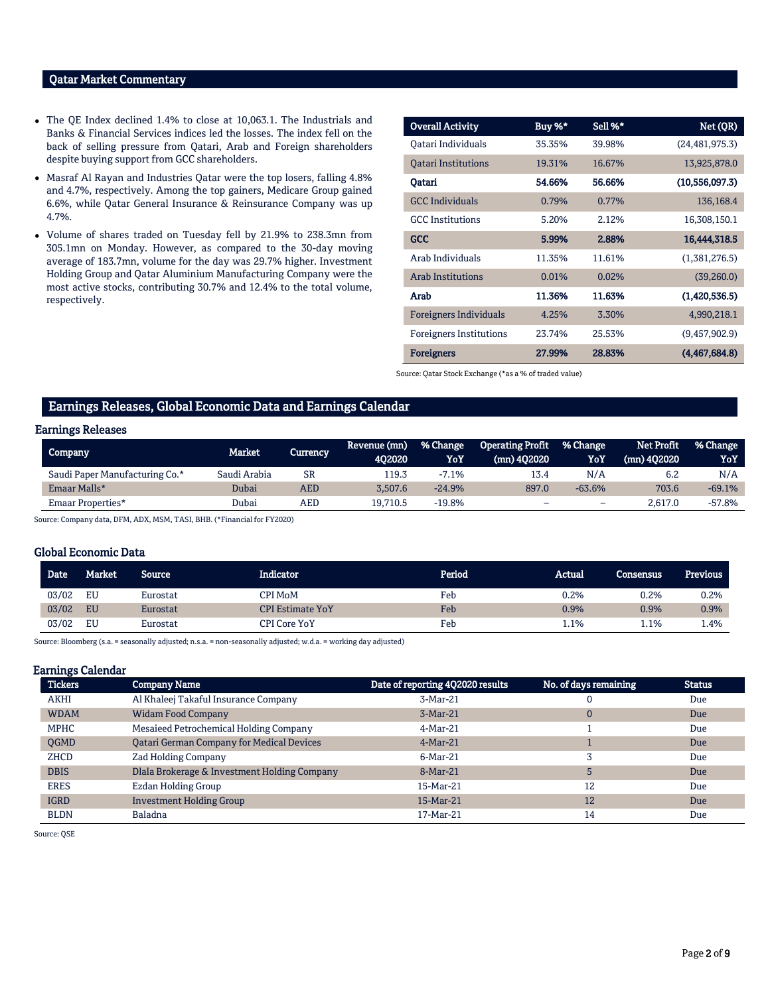# Qatar Market Commentary

- The QE Index declined 1.4% to close at 10,063.1. The Industrials and Banks & Financial Services indices led the losses. The index fell on the back of selling pressure from Qatari, Arab and Foreign shareholders despite buying support from GCC shareholders.
- Masraf Al Rayan and Industries Qatar were the top losers, falling 4.8% and 4.7%, respectively. Among the top gainers, Medicare Group gained 6.6%, while Qatar General Insurance & Reinsurance Company was up 4.7%.
- Volume of shares traded on Tuesday fell by 21.9% to 238.3mn from 305.1mn on Monday. However, as compared to the 30-day moving average of 183.7mn, volume for the day was 29.7% higher. Investment Holding Group and Qatar Aluminium Manufacturing Company were the most active stocks, contributing 30.7% and 12.4% to the total volume, respectively.

| <b>Overall Activity</b>        | Buy %* | Sell %* | Net (QR)         |
|--------------------------------|--------|---------|------------------|
| Oatari Individuals             | 35.35% | 39.98%  | (24, 481, 975.3) |
| <b>Qatari Institutions</b>     | 19.31% | 16.67%  | 13,925,878.0     |
| Oatari                         | 54.66% | 56.66%  | (10,556,097.3)   |
| <b>GCC</b> Individuals         | 0.79%  | 0.77%   | 136,168.4        |
| <b>GCC</b> Institutions        | 5.20%  | 2.12%   | 16,308,150.1     |
| GCC                            | 5.99%  | 2.88%   | 16,444,318.5     |
| Arab Individuals               | 11.35% | 11.61%  | (1,381,276.5)    |
| <b>Arab Institutions</b>       | 0.01%  | 0.02%   | (39,260.0)       |
| Arab                           | 11.36% | 11.63%  | (1,420,536.5)    |
| <b>Foreigners Individuals</b>  | 4.25%  | 3.30%   | 4,990,218.1      |
| <b>Foreigners Institutions</b> | 23.74% | 25.53%  | (9,457,902.9)    |
| <b>Foreigners</b>              | 27.99% | 28.83%  | (4,467,684.8)    |

Source: Qatar Stock Exchange (\*as a % of traded value)

# Earnings Releases, Global Economic Data and Earnings Calendar

# Earnings Releases

| <b>Company</b>                 | Market       | 'Currency | Revenue (mn)<br>402020 | % Change<br>YoY | <b>Operating Profit</b><br>$(mn)$ 402020 | I % Change<br>YoY | Net Profit<br>$(mn)$ 402020 | % Change<br>YoY |
|--------------------------------|--------------|-----------|------------------------|-----------------|------------------------------------------|-------------------|-----------------------------|-----------------|
| Saudi Paper Manufacturing Co.* | Saudi Arabia | <b>SR</b> | 119.3                  | $-7.1%$         | 13.4                                     | N/A               | 6.2                         | N/A             |
| Emaar Malls*                   | Dubai        | AED       | 3.507.6                | $-24.9%$        | 897.0                                    | $-63.6%$          | 703.6                       | $-69.1%$        |
| Emaar Properties*              | Dubai        | AED       | 19,710.5               | $-19.8%$        | -                                        | -                 | 2,617.0                     | $-57.8%$        |

Source: Company data, DFM, ADX, MSM, TASI, BHB. (\*Financial for FY2020)

# Global Economic Data

| Date <sup>1</sup> | <b>Market</b> | Source   | Indicator               | Period | Actual | <b>Consensus</b> | <b>Previous</b> |
|-------------------|---------------|----------|-------------------------|--------|--------|------------------|-----------------|
| 03/02             | EU            | Eurostat | CPI MoM                 | Feb    | 0.2%   | 0.2%             | 0.2%            |
| 03/02             | <b>EU</b>     | Eurostat | <b>CPI Estimate YoY</b> | Feb    | 0.9%   | 0.9%             | 0.9%            |
| 03/02             | EU            | Eurostat | CPI Core YoY            | Feb    | 1.1%   | 1.1%             | 1.4%            |

Source: Bloomberg (s.a. = seasonally adjusted; n.s.a. = non-seasonally adjusted; w.d.a. = working day adjusted)

# Earnings Calendar

| <b>Tickers</b> | <b>Company Name</b>                              | Date of reporting 4Q2020 results | No. of days remaining | <b>Status</b> |
|----------------|--------------------------------------------------|----------------------------------|-----------------------|---------------|
| <b>AKHI</b>    | Al Khaleej Takaful Insurance Company             | 3-Mar-21                         |                       | Due           |
| <b>WDAM</b>    | <b>Widam Food Company</b>                        | $3-Mar-21$                       | $\mathbf 0$           | Due           |
| <b>MPHC</b>    | Mesaieed Petrochemical Holding Company           | 4-Mar-21                         |                       | Due           |
| <b>OGMD</b>    | <b>Qatari German Company for Medical Devices</b> | $4-Mar-21$                       |                       | Due           |
| <b>ZHCD</b>    | <b>Zad Holding Company</b>                       | $6-Mar-21$                       |                       | Due           |
| <b>DBIS</b>    | Dlala Brokerage & Investment Holding Company     | 8-Mar-21                         | 5                     | Due           |
| <b>ERES</b>    | Ezdan Holding Group                              | 15-Mar-21                        | 12                    | Due           |
| <b>IGRD</b>    | <b>Investment Holding Group</b>                  | 15-Mar-21                        | 12                    | Due           |
| <b>BLDN</b>    | Baladna                                          | 17-Mar-21                        | 14                    | Due           |

Source: QSE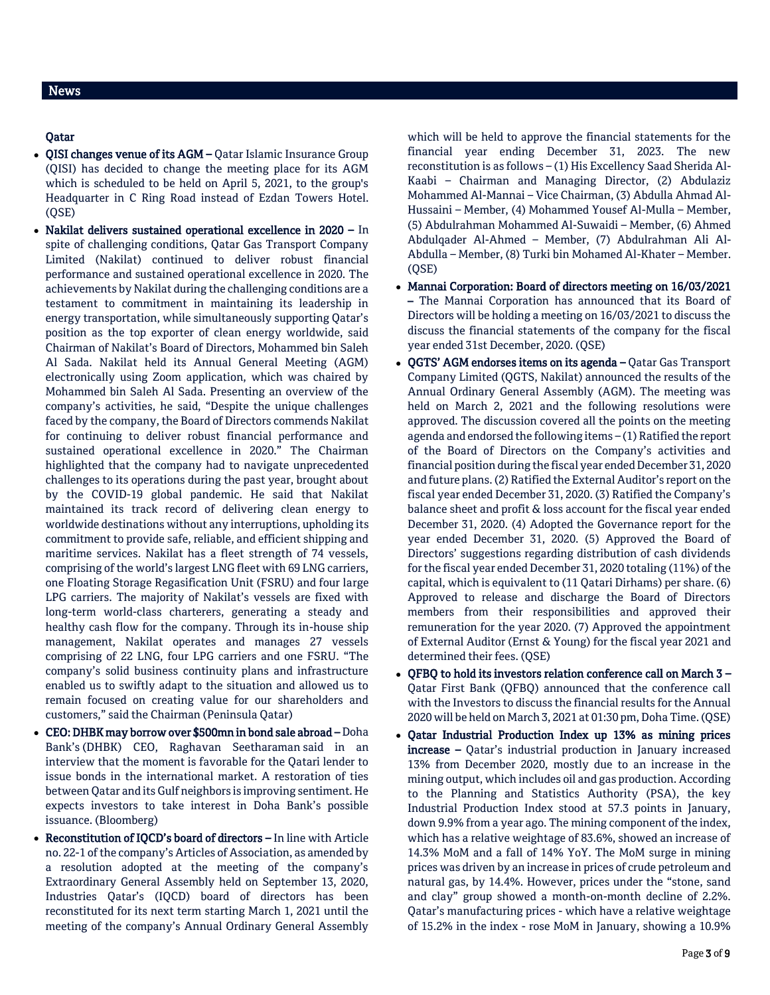# Qatar

- QISI changes venue of its AGM Qatar Islamic Insurance Group (QISI) has decided to change the meeting place for its AGM which is scheduled to be held on April 5, 2021, to the group's Headquarter in C Ring Road instead of Ezdan Towers Hotel. (QSE)
- Nakilat delivers sustained operational excellence in 2020 In spite of challenging conditions, Qatar Gas Transport Company Limited (Nakilat) continued to deliver robust financial performance and sustained operational excellence in 2020. The achievements by Nakilat during the challenging conditions are a testament to commitment in maintaining its leadership in energy transportation, while simultaneously supporting Qatar's position as the top exporter of clean energy worldwide, said Chairman of Nakilat's Board of Directors, Mohammed bin Saleh Al Sada. Nakilat held its Annual General Meeting (AGM) electronically using Zoom application, which was chaired by Mohammed bin Saleh Al Sada. Presenting an overview of the company's activities, he said, "Despite the unique challenges faced by the company, the Board of Directors commends Nakilat for continuing to deliver robust financial performance and sustained operational excellence in 2020." The Chairman highlighted that the company had to navigate unprecedented challenges to its operations during the past year, brought about by the COVID-19 global pandemic. He said that Nakilat maintained its track record of delivering clean energy to worldwide destinations without any interruptions, upholding its commitment to provide safe, reliable, and efficient shipping and maritime services. Nakilat has a fleet strength of 74 vessels, comprising of the world's largest LNG fleet with 69 LNG carriers, one Floating Storage Regasification Unit (FSRU) and four large LPG carriers. The majority of Nakilat's vessels are fixed with long-term world-class charterers, generating a steady and healthy cash flow for the company. Through its in-house ship management, Nakilat operates and manages 27 vessels comprising of 22 LNG, four LPG carriers and one FSRU. "The company's solid business continuity plans and infrastructure enabled us to swiftly adapt to the situation and allowed us to remain focused on creating value for our shareholders and customers," said the Chairman (Peninsula Qatar)
- CEO: DHBK may borrow over \$500mn in bond sale abroad Doha Bank's (DHBK) CEO, Raghavan Seetharaman said in an interview that the moment is favorable for the Qatari lender to issue bonds in the international market. A restoration of ties between Qatar and its Gulf neighbors is improving sentiment. He expects investors to take interest in Doha Bank's possible issuance. (Bloomberg)
- Reconstitution of IQCD's board of directors In line with Article no. 22-1 of the company's Articles of Association, as amended by a resolution adopted at the meeting of the company's Extraordinary General Assembly held on September 13, 2020, Industries Qatar's (IQCD) board of directors has been reconstituted for its next term starting March 1, 2021 until the meeting of the company's Annual Ordinary General Assembly

which will be held to approve the financial statements for the financial year ending December 31, 2023. The new reconstitution is as follows – (1) His Excellency Saad Sherida Al-Kaabi – Chairman and Managing Director, (2) Abdulaziz Mohammed Al-Mannai – Vice Chairman, (3) Abdulla Ahmad Al-Hussaini – Member, (4) Mohammed Yousef Al-Mulla – Member, (5) Abdulrahman Mohammed Al-Suwaidi – Member, (6) Ahmed Abdulqader Al-Ahmed – Member, (7) Abdulrahman Ali Al-Abdulla – Member, (8) Turki bin Mohamed Al-Khater – Member. (QSE)

- Mannai Corporation: Board of directors meeting on 16/03/2021 – The Mannai Corporation has announced that its Board of Directors will be holding a meeting on 16/03/2021 to discuss the discuss the financial statements of the company for the fiscal year ended 31st December, 2020. (QSE)
- QGTS' AGM endorses items on its agenda Qatar Gas Transport Company Limited (QGTS, Nakilat) announced the results of the Annual Ordinary General Assembly (AGM). The meeting was held on March 2, 2021 and the following resolutions were approved. The discussion covered all the points on the meeting agenda and endorsed the following items – (1) Ratified the report of the Board of Directors on the Company's activities and financial position during the fiscal year ended December 31, 2020 and future plans. (2) Ratified the External Auditor's report on the fiscal year ended December 31, 2020. (3) Ratified the Company's balance sheet and profit & loss account for the fiscal year ended December 31, 2020. (4) Adopted the Governance report for the year ended December 31, 2020. (5) Approved the Board of Directors' suggestions regarding distribution of cash dividends for the fiscal year ended December 31, 2020 totaling (11%) of the capital, which is equivalent to (11 Qatari Dirhams) per share. (6) Approved to release and discharge the Board of Directors members from their responsibilities and approved their remuneration for the year 2020. (7) Approved the appointment of External Auditor (Ernst & Young) for the fiscal year 2021 and determined their fees. (QSE)
- QFBQ to hold its investors relation conference call on March 3 Qatar First Bank (QFBQ) announced that the conference call with the Investors to discuss the financial results for the Annual 2020 will be held on March 3, 2021 at 01:30 pm, Doha Time. (QSE)
- Qatar Industrial Production Index up 13% as mining prices increase – Qatar's industrial production in January increased 13% from December 2020, mostly due to an increase in the mining output, which includes oil and gas production. According to the Planning and Statistics Authority (PSA), the key Industrial Production Index stood at 57.3 points in January, down 9.9% from a year ago. The mining component of the index, which has a relative weightage of 83.6%, showed an increase of 14.3% MoM and a fall of 14% YoY. The MoM surge in mining prices was driven by an increase in prices of crude petroleum and natural gas, by 14.4%. However, prices under the "stone, sand and clay" group showed a month-on-month decline of 2.2%. Qatar's manufacturing prices - which have a relative weightage of 15.2% in the index - rose MoM in January, showing a 10.9%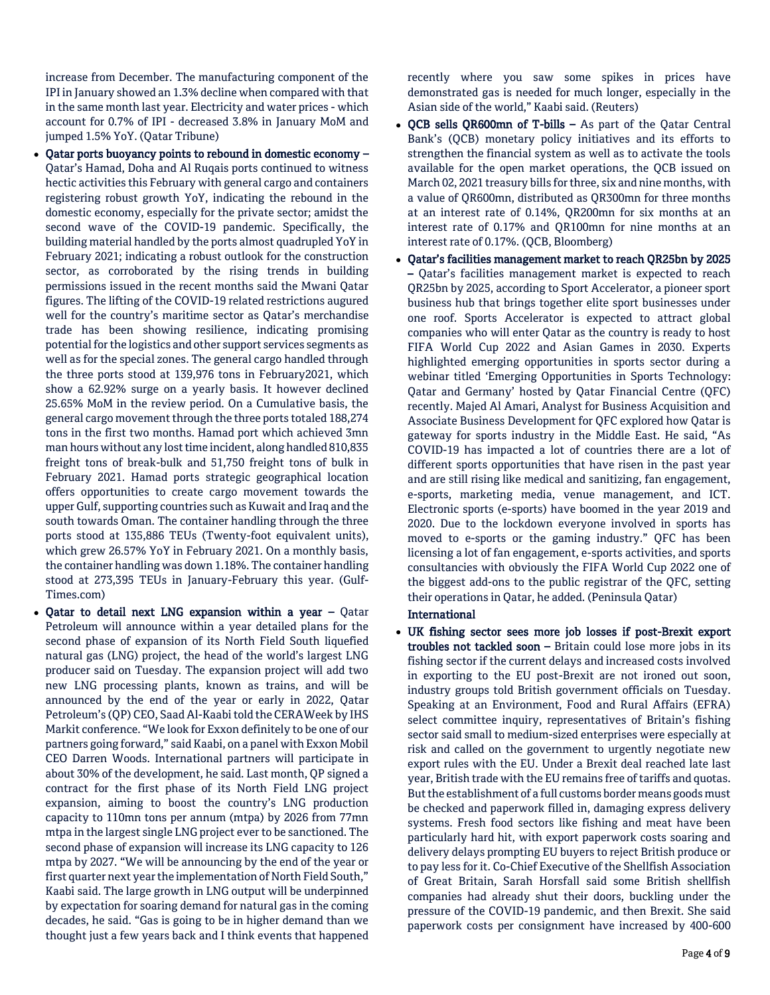increase from December. The manufacturing component of the IPI in January showed an 1.3% decline when compared with that in the same month last year. Electricity and water prices - which account for 0.7% of IPI - decreased 3.8% in January MoM and jumped 1.5% YoY. (Qatar Tribune)

- Qatar ports buoyancy points to rebound in domestic economy Qatar's Hamad, Doha and Al Ruqais ports continued to witness hectic activities this February with general cargo and containers registering robust growth YoY, indicating the rebound in the domestic economy, especially for the private sector; amidst the second wave of the COVID-19 pandemic. Specifically, the building material handled by the ports almost quadrupled YoY in February 2021; indicating a robust outlook for the construction sector, as corroborated by the rising trends in building permissions issued in the recent months said the Mwani Qatar figures. The lifting of the COVID-19 related restrictions augured well for the country's maritime sector as Qatar's merchandise trade has been showing resilience, indicating promising potential for the logistics and other support services segments as well as for the special zones. The general cargo handled through the three ports stood at 139,976 tons in February2021, which show a 62.92% surge on a yearly basis. It however declined 25.65% MoM in the review period. On a Cumulative basis, the general cargo movement through the three ports totaled 188,274 tons in the first two months. Hamad port which achieved 3mn man hours without any lost time incident, along handled 810,835 freight tons of break-bulk and 51,750 freight tons of bulk in February 2021. Hamad ports strategic geographical location offers opportunities to create cargo movement towards the upper Gulf, supporting countries such as Kuwait and Iraq and the south towards Oman. The container handling through the three ports stood at 135,886 TEUs (Twenty-foot equivalent units), which grew 26.57% YoY in February 2021. On a monthly basis, the container handling was down 1.18%. The container handling stood at 273,395 TEUs in January-February this year. (Gulf-Times.com)
- Qatar to detail next LNG expansion within a year Qatar Petroleum will announce within a year detailed plans for the second phase of expansion of its North Field South liquefied natural gas (LNG) project, the head of the world's largest LNG producer said on Tuesday. The expansion project will add two new LNG processing plants, known as trains, and will be announced by the end of the year or early in 2022, Qatar Petroleum's (QP) CEO, Saad Al-Kaabi told the CERAWeek by IHS Markit conference. "We look for Exxon definitely to be one of our partners going forward," said Kaabi, on a panel with Exxon Mobil CEO Darren Woods. International partners will participate in about 30% of the development, he said. Last month, QP signed a contract for the first phase of its North Field LNG project expansion, aiming to boost the country's LNG production capacity to 110mn tons per annum (mtpa) by 2026 from 77mn mtpa in the largest single LNG project ever to be sanctioned. The second phase of expansion will increase its LNG capacity to 126 mtpa by 2027. "We will be announcing by the end of the year or first quarter next year the implementation of North Field South," Kaabi said. The large growth in LNG output will be underpinned by expectation for soaring demand for natural gas in the coming decades, he said. "Gas is going to be in higher demand than we thought just a few years back and I think events that happened

recently where you saw some spikes in prices have demonstrated gas is needed for much longer, especially in the Asian side of the world," Kaabi said. (Reuters)

- QCB sells QR600mn of T-bills As part of the Qatar Central Bank's (QCB) monetary policy initiatives and its efforts to strengthen the financial system as well as to activate the tools available for the open market operations, the QCB issued on March 02, 2021 treasury bills for three, six and nine months, with a value of QR600mn, distributed as QR300mn for three months at an interest rate of 0.14%, QR200mn for six months at an interest rate of 0.17% and QR100mn for nine months at an interest rate of 0.17%. (QCB, Bloomberg)
- Qatar's facilities management market to reach QR25bn by 2025 – Qatar's facilities management market is expected to reach QR25bn by 2025, according to Sport Accelerator, a pioneer sport business hub that brings together elite sport businesses under one roof. Sports Accelerator is expected to attract global companies who will enter Qatar as the country is ready to host FIFA World Cup 2022 and Asian Games in 2030. Experts highlighted emerging opportunities in sports sector during a webinar titled 'Emerging Opportunities in Sports Technology: Qatar and Germany' hosted by Qatar Financial Centre (QFC) recently. Majed Al Amari, Analyst for Business Acquisition and Associate Business Development for QFC explored how Qatar is gateway for sports industry in the Middle East. He said, "As COVID-19 has impacted a lot of countries there are a lot of different sports opportunities that have risen in the past year and are still rising like medical and sanitizing, fan engagement, e-sports, marketing media, venue management, and ICT. Electronic sports (e-sports) have boomed in the year 2019 and 2020. Due to the lockdown everyone involved in sports has moved to e-sports or the gaming industry." QFC has been licensing a lot of fan engagement, e-sports activities, and sports consultancies with obviously the FIFA World Cup 2022 one of the biggest add-ons to the public registrar of the QFC, setting their operations in Qatar, he added. (Peninsula Qatar)

# International

 UK fishing sector sees more job losses if post-Brexit export troubles not tackled soon – Britain could lose more jobs in its fishing sector if the current delays and increased costs involved in exporting to the EU post-Brexit are not ironed out soon, industry groups told British government officials on Tuesday. Speaking at an Environment, Food and Rural Affairs (EFRA) select committee inquiry, representatives of Britain's fishing sector said small to medium-sized enterprises were especially at risk and called on the government to urgently negotiate new export rules with the EU. Under a Brexit deal reached late last year, British trade with the EU remains free of tariffs and quotas. But the establishment of a full customs border means goods must be checked and paperwork filled in, damaging express delivery systems. Fresh food sectors like fishing and meat have been particularly hard hit, with export paperwork costs soaring and delivery delays prompting EU buyers to reject British produce or to pay less for it. Co-Chief Executive of the Shellfish Association of Great Britain, Sarah Horsfall said some British shellfish companies had already shut their doors, buckling under the pressure of the COVID-19 pandemic, and then Brexit. She said paperwork costs per consignment have increased by 400-600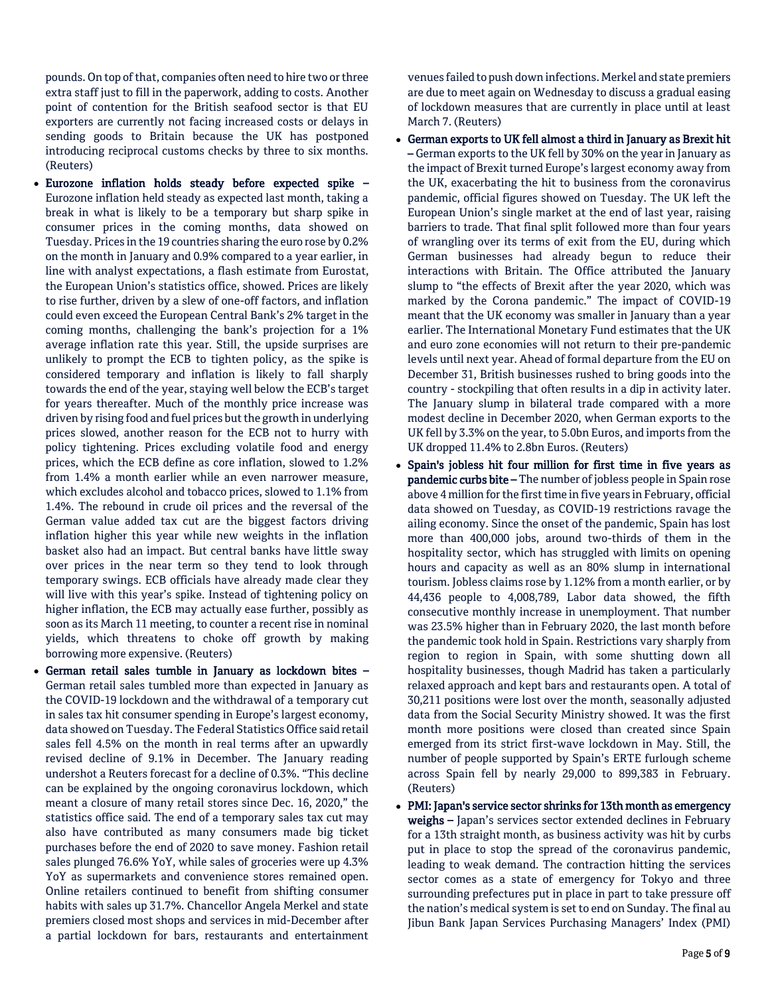pounds. On top of that, companies often need to hire two or three extra staff just to fill in the paperwork, adding to costs. Another point of contention for the British seafood sector is that EU exporters are currently not facing increased costs or delays in sending goods to Britain because the UK has postponed introducing reciprocal customs checks by three to six months. (Reuters)

- Eurozone inflation holds steady before expected spike Eurozone inflation held steady as expected last month, taking a break in what is likely to be a temporary but sharp spike in consumer prices in the coming months, data showed on Tuesday. Prices in the 19 countries sharing the euro rose by 0.2% on the month in January and 0.9% compared to a year earlier, in line with analyst expectations, a flash estimate from Eurostat, the European Union's statistics office, showed. Prices are likely to rise further, driven by a slew of one-off factors, and inflation could even exceed the European Central Bank's 2% target in the coming months, challenging the bank's projection for a 1% average inflation rate this year. Still, the upside surprises are unlikely to prompt the ECB to tighten policy, as the spike is considered temporary and inflation is likely to fall sharply towards the end of the year, staying well below the ECB's target for years thereafter. Much of the monthly price increase was driven by rising food and fuel prices but the growth in underlying prices slowed, another reason for the ECB not to hurry with policy tightening. Prices excluding volatile food and energy prices, which the ECB define as core inflation, slowed to 1.2% from 1.4% a month earlier while an even narrower measure, which excludes alcohol and tobacco prices, slowed to 1.1% from 1.4%. The rebound in crude oil prices and the reversal of the German value added tax cut are the biggest factors driving inflation higher this year while new weights in the inflation basket also had an impact. But central banks have little sway over prices in the near term so they tend to look through temporary swings. ECB officials have already made clear they will live with this year's spike. Instead of tightening policy on higher inflation, the ECB may actually ease further, possibly as soon as its March 11 meeting, to counter a recent rise in nominal yields, which threatens to choke off growth by making borrowing more expensive. (Reuters)
- German retail sales tumble in January as lockdown bites German retail sales tumbled more than expected in January as the COVID-19 lockdown and the withdrawal of a temporary cut in sales tax hit consumer spending in Europe's largest economy, data showed on Tuesday. The Federal Statistics Office said retail sales fell 4.5% on the month in real terms after an upwardly revised decline of 9.1% in December. The January reading undershot a Reuters forecast for a decline of 0.3%. "This decline can be explained by the ongoing coronavirus lockdown, which meant a closure of many retail stores since Dec. 16, 2020," the statistics office said. The end of a temporary sales tax cut may also have contributed as many consumers made big ticket purchases before the end of 2020 to save money. Fashion retail sales plunged 76.6% YoY, while sales of groceries were up 4.3% YoY as supermarkets and convenience stores remained open. Online retailers continued to benefit from shifting consumer habits with sales up 31.7%. Chancellor Angela Merkel and state premiers closed most shops and services in mid-December after a partial lockdown for bars, restaurants and entertainment

venues failed to push down infections. Merkel and state premiers are due to meet again on Wednesday to discuss a gradual easing of lockdown measures that are currently in place until at least March 7. (Reuters)

- German exports to UK fell almost a third in January as Brexit hit – German exports to the UK fell by 30% on the year in January as the impact of Brexit turned Europe's largest economy away from the UK, exacerbating the hit to business from the coronavirus pandemic, official figures showed on Tuesday. The UK left the European Union's single market at the end of last year, raising barriers to trade. That final split followed more than four years of wrangling over its terms of exit from the EU, during which German businesses had already begun to reduce their interactions with Britain. The Office attributed the January slump to "the effects of Brexit after the year 2020, which was marked by the Corona pandemic." The impact of COVID-19 meant that the UK economy was smaller in January than a year earlier. The International Monetary Fund estimates that the UK and euro zone economies will not return to their pre-pandemic levels until next year. Ahead of formal departure from the EU on December 31, British businesses rushed to bring goods into the country - stockpiling that often results in a dip in activity later. The January slump in bilateral trade compared with a more modest decline in December 2020, when German exports to the UK fell by 3.3% on the year, to 5.0bn Euros, and imports from the UK dropped 11.4% to 2.8bn Euros. (Reuters)
- Spain's jobless hit four million for first time in five years as pandemic curbs bite – The number of jobless people in Spain rose above 4 million for the first time in five years in February, official data showed on Tuesday, as COVID-19 restrictions ravage the ailing economy. Since the onset of the pandemic, Spain has lost more than 400,000 jobs, around two-thirds of them in the hospitality sector, which has struggled with limits on opening hours and capacity as well as an 80% slump in international tourism. Jobless claims rose by 1.12% from a month earlier, or by 44,436 people to 4,008,789, Labor data showed, the fifth consecutive monthly increase in unemployment. That number was 23.5% higher than in February 2020, the last month before the pandemic took hold in Spain. Restrictions vary sharply from region to region in Spain, with some shutting down all hospitality businesses, though Madrid has taken a particularly relaxed approach and kept bars and restaurants open. A total of 30,211 positions were lost over the month, seasonally adjusted data from the Social Security Ministry showed. It was the first month more positions were closed than created since Spain emerged from its strict first-wave lockdown in May. Still, the number of people supported by Spain's ERTE furlough scheme across Spain fell by nearly 29,000 to 899,383 in February. (Reuters)
- PMI: Japan's service sector shrinks for 13th month as emergency weighs - Japan's services sector extended declines in February for a 13th straight month, as business activity was hit by curbs put in place to stop the spread of the coronavirus pandemic, leading to weak demand. The contraction hitting the services sector comes as a state of emergency for Tokyo and three surrounding prefectures put in place in part to take pressure off the nation's medical system is set to end on Sunday. The final au Jibun Bank Japan Services Purchasing Managers' Index (PMI)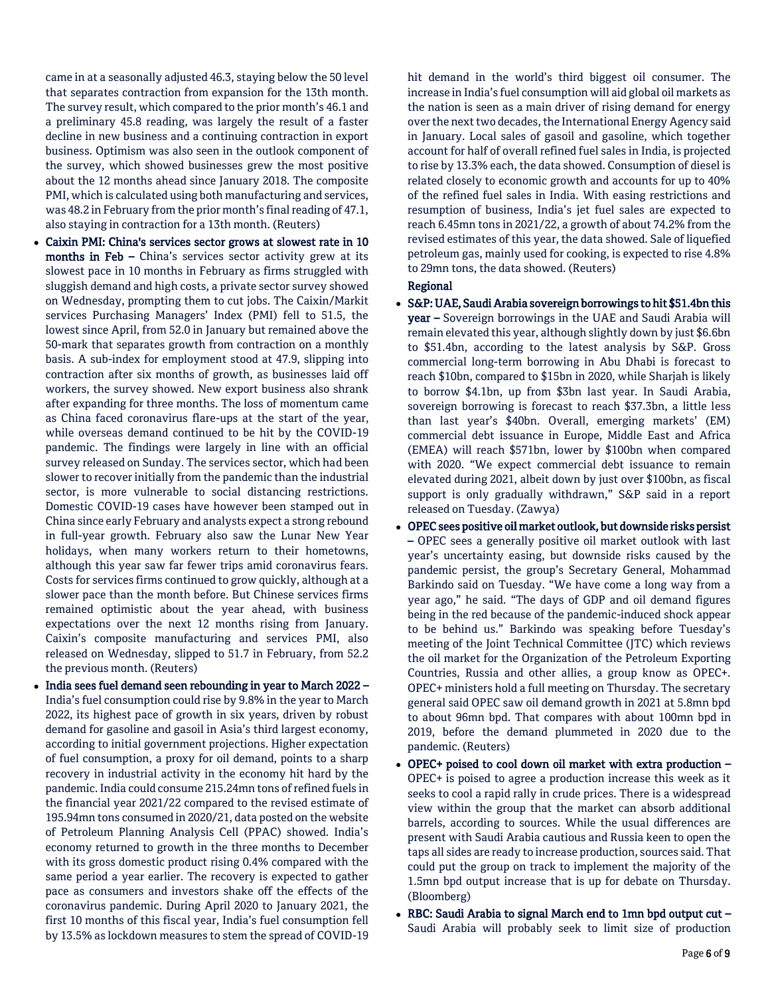came in at a seasonally adjusted 46.3, staying below the 50 level that separates contraction from expansion for the 13th month. The survey result, which compared to the prior month's 46.1 and a preliminary 45.8 reading, was largely the result of a faster decline in new business and a continuing contraction in export business. Optimism was also seen in the outlook component of the survey, which showed businesses grew the most positive about the 12 months ahead since January 2018. The composite PMI, which is calculated using both manufacturing and services, was 48.2 in February from the prior month's final reading of 47.1, also staying in contraction for a 13th month. (Reuters)

- Caixin PMI: China's services sector grows at slowest rate in 10 months in Feb – China's services sector activity grew at its slowest pace in 10 months in February as firms struggled with sluggish demand and high costs, a private sector survey showed on Wednesday, prompting them to cut jobs. The Caixin/Markit services Purchasing Managers' Index (PMI) fell to 51.5, the lowest since April, from 52.0 in January but remained above the 50-mark that separates growth from contraction on a monthly basis. A sub-index for employment stood at 47.9, slipping into contraction after six months of growth, as businesses laid off workers, the survey showed. New export business also shrank after expanding for three months. The loss of momentum came as China faced coronavirus flare-ups at the start of the year, while overseas demand continued to be hit by the COVID-19 pandemic. The findings were largely in line with an official survey released on Sunday. The services sector, which had been slower to recover initially from the pandemic than the industrial sector, is more vulnerable to social distancing restrictions. Domestic COVID-19 cases have however been stamped out in China since early February and analysts expect a strong rebound in full-year growth. February also saw the Lunar New Year holidays, when many workers return to their hometowns, although this year saw far fewer trips amid coronavirus fears. Costs for services firms continued to grow quickly, although at a slower pace than the month before. But Chinese services firms remained optimistic about the year ahead, with business expectations over the next 12 months rising from January. Caixin's composite manufacturing and services PMI, also released on Wednesday, slipped to 51.7 in February, from 52.2 the previous month. (Reuters)
- India sees fuel demand seen rebounding in year to March 2022 -India's fuel consumption could rise by 9.8% in the year to March 2022, its highest pace of growth in six years, driven by robust demand for gasoline and gasoil in Asia's third largest economy, according to initial government projections. Higher expectation of fuel consumption, a proxy for oil demand, points to a sharp recovery in industrial activity in the economy hit hard by the pandemic. India could consume 215.24mn tons of refined fuels in the financial year 2021/22 compared to the revised estimate of 195.94mn tons consumed in 2020/21, data posted on the website of Petroleum Planning Analysis Cell (PPAC) showed. India's economy returned to growth in the three months to December with its gross domestic product rising 0.4% compared with the same period a year earlier. The recovery is expected to gather pace as consumers and investors shake off the effects of the coronavirus pandemic. During April 2020 to January 2021, the first 10 months of this fiscal year, India's fuel consumption fell by 13.5% as lockdown measures to stem the spread of COVID-19

hit demand in the world's third biggest oil consumer. The increase in India's fuel consumption will aid global oil markets as the nation is seen as a main driver of rising demand for energy over the next two decades, the International Energy Agency said in January. Local sales of gasoil and gasoline, which together account for half of overall refined fuel sales in India, is projected to rise by 13.3% each, the data showed. Consumption of diesel is related closely to economic growth and accounts for up to 40% of the refined fuel sales in India. With easing restrictions and resumption of business, India's jet fuel sales are expected to reach 6.45mn tons in 2021/22, a growth of about 74.2% from the revised estimates of this year, the data showed. Sale of liquefied petroleum gas, mainly used for cooking, is expected to rise 4.8% to 29mn tons, the data showed. (Reuters)

# Regional

- S&P: UAE, Saudi Arabia sovereign borrowings to hit \$51.4bn this year – Sovereign borrowings in the UAE and Saudi Arabia will remain elevated this year, although slightly down by just \$6.6bn to \$51.4bn, according to the latest analysis by S&P. Gross commercial long-term borrowing in Abu Dhabi is forecast to reach \$10bn, compared to \$15bn in 2020, while Sharjah is likely to borrow \$4.1bn, up from \$3bn last year. In Saudi Arabia, sovereign borrowing is forecast to reach \$37.3bn, a little less than last year's \$40bn. Overall, emerging markets' (EM) commercial debt issuance in Europe, Middle East and Africa (EMEA) will reach \$571bn, lower by \$100bn when compared with 2020. "We expect commercial debt issuance to remain elevated during 2021, albeit down by just over \$100bn, as fiscal support is only gradually withdrawn," S&P said in a report released on Tuesday. (Zawya)
- OPEC sees positive oil market outlook, but downside risks persist – OPEC sees a generally positive oil market outlook with last year's uncertainty easing, but downside risks caused by the pandemic persist, the group's Secretary General, Mohammad Barkindo said on Tuesday. "We have come a long way from a year ago," he said. "The days of GDP and oil demand figures being in the red because of the pandemic-induced shock appear to be behind us." Barkindo was speaking before Tuesday's meeting of the Joint Technical Committee (JTC) which reviews the oil market for the Organization of the Petroleum Exporting Countries, Russia and other allies, a group know as OPEC+. OPEC+ ministers hold a full meeting on Thursday. The secretary general said OPEC saw oil demand growth in 2021 at 5.8mn bpd to about 96mn bpd. That compares with about 100mn bpd in 2019, before the demand plummeted in 2020 due to the pandemic. (Reuters)
- OPEC+ poised to cool down oil market with extra production OPEC+ is poised to agree a production increase this week as it seeks to cool a rapid rally in crude prices. There is a widespread view within the group that the market can absorb additional barrels, according to sources. While the usual differences are present with Saudi Arabia cautious and Russia keen to open the taps all sides are ready to increase production, sources said. That could put the group on track to implement the majority of the 1.5mn bpd output increase that is up for debate on Thursday. (Bloomberg)
- RBC: Saudi Arabia to signal March end to 1mn bpd output cut Saudi Arabia will probably seek to limit size of production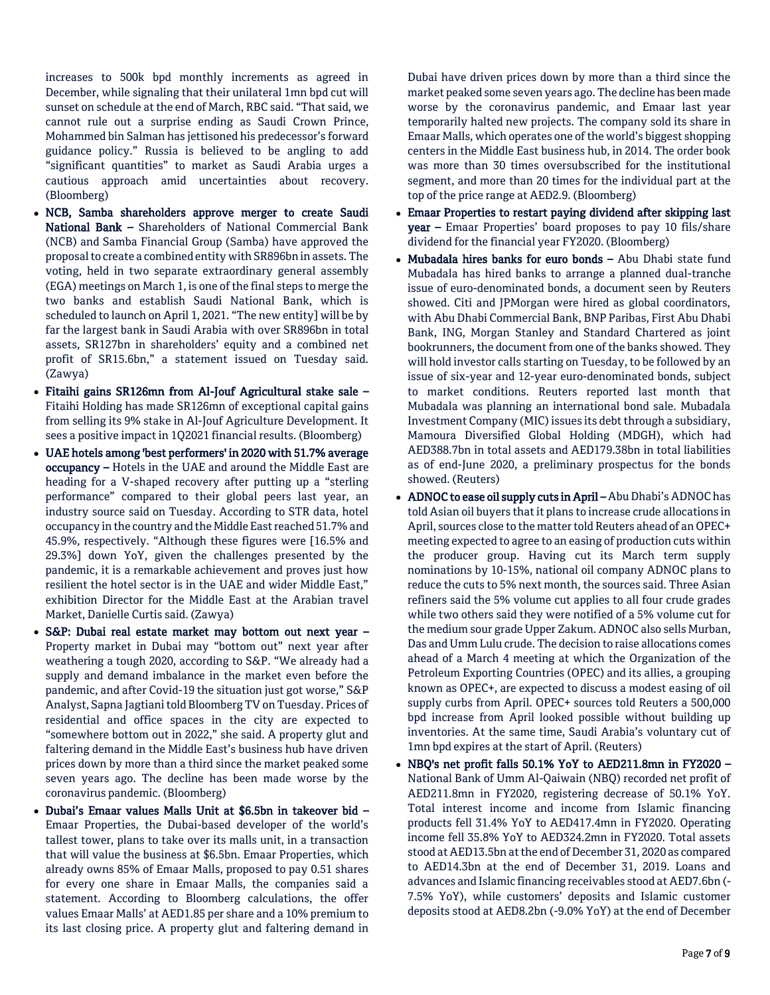increases to 500k bpd monthly increments as agreed in December, while signaling that their unilateral 1mn bpd cut will sunset on schedule at the end of March, RBC said. "That said, we cannot rule out a surprise ending as Saudi Crown Prince, Mohammed bin Salman has jettisoned his predecessor's forward guidance policy." Russia is believed to be angling to add "significant quantities" to market as Saudi Arabia urges a cautious approach amid uncertainties about recovery. (Bloomberg)

- NCB, Samba shareholders approve merger to create Saudi National Bank – Shareholders of National Commercial Bank (NCB) and Samba Financial Group (Samba) have approved the proposal to create a combined entity with SR896bn in assets. The voting, held in two separate extraordinary general assembly (EGA) meetings on March 1, is one of the final steps to merge the two banks and establish Saudi National Bank, which is scheduled to launch on April 1, 2021. "The new entity] will be by far the largest bank in Saudi Arabia with over SR896bn in total assets, SR127bn in shareholders' equity and a combined net profit of SR15.6bn," a statement issued on Tuesday said. (Zawya)
- Fitaihi gains SR126mn from Al-Jouf Agricultural stake sale Fitaihi Holding has made SR126mn of exceptional capital gains from selling its 9% stake in Al-Jouf Agriculture Development. It sees a positive impact in 1Q2021 financial results. (Bloomberg)
- UAE hotels among 'best performers' in 2020 with 51.7% average occupancy – Hotels in the UAE and around the Middle East are heading for a V-shaped recovery after putting up a "sterling performance" compared to their global peers last year, an industry source said on Tuesday. According to STR data, hotel occupancy in the country and the Middle East reached 51.7% and 45.9%, respectively. "Although these figures were [16.5% and 29.3%] down YoY, given the challenges presented by the pandemic, it is a remarkable achievement and proves just how resilient the hotel sector is in the UAE and wider Middle East," exhibition Director for the Middle East at the Arabian travel Market, Danielle Curtis said. (Zawya)
- S&P: Dubai real estate market may bottom out next year Property market in Dubai may "bottom out" next year after weathering a tough 2020, according to S&P. "We already had a supply and demand imbalance in the market even before the pandemic, and after Covid-19 the situation just got worse," S&P Analyst, Sapna Jagtiani told Bloomberg TV on Tuesday. Prices of residential and office spaces in the city are expected to "somewhere bottom out in 2022," she said. A property glut and faltering demand in the Middle East's business hub have driven prices down by more than a third since the market peaked some seven years ago. The decline has been made worse by the coronavirus pandemic. (Bloomberg)
- Dubai's Emaar values Malls Unit at \$6.5bn in takeover bid Emaar Properties, the Dubai-based developer of the world's tallest tower, plans to take over its malls unit, in a transaction that will value the business at \$6.5bn. Emaar Properties, which already owns 85% of Emaar Malls, proposed to pay 0.51 shares for every one share in Emaar Malls, the companies said a statement. According to Bloomberg calculations, the offer values Emaar Malls' at AED1.85 per share and a 10% premium to its last closing price. A property glut and faltering demand in

Dubai have driven prices down by more than a third since the market peaked some seven years ago. The decline has been made worse by the coronavirus pandemic, and Emaar last year temporarily halted new projects. The company sold its share in Emaar Malls, which operates one of the world's biggest shopping centers in the Middle East business hub, in 2014. The order book was more than 30 times oversubscribed for the institutional segment, and more than 20 times for the individual part at the top of the price range at AED2.9. (Bloomberg)

- Emaar Properties to restart paying dividend after skipping last year – Emaar Properties' board proposes to pay 10 fils/share dividend for the financial year FY2020. (Bloomberg)
- Mubadala hires banks for euro bonds Abu Dhabi state fund Mubadala has hired banks to arrange a planned dual-tranche issue of euro-denominated bonds, a document seen by Reuters showed. Citi and JPMorgan were hired as global coordinators, with Abu Dhabi Commercial Bank, BNP Paribas, First Abu Dhabi Bank, ING, Morgan Stanley and Standard Chartered as joint bookrunners, the document from one of the banks showed. They will hold investor calls starting on Tuesday, to be followed by an issue of six-year and 12-year euro-denominated bonds, subject to market conditions. Reuters reported last month that Mubadala was planning an international bond sale. Mubadala Investment Company (MIC) issues its debt through a subsidiary, Mamoura Diversified Global Holding (MDGH), which had AED388.7bn in total assets and AED179.38bn in total liabilities as of end-June 2020, a preliminary prospectus for the bonds showed. (Reuters)
- ADNOC to ease oil supply cuts in April Abu Dhabi's ADNOC has told Asian oil buyers that it plans to increase crude allocations in April, sources close to the matter told Reuters ahead of an OPEC+ meeting expected to agree to an easing of production cuts within the producer group. Having cut its March term supply nominations by 10-15%, national oil company ADNOC plans to reduce the cuts to 5% next month, the sources said. Three Asian refiners said the 5% volume cut applies to all four crude grades while two others said they were notified of a 5% volume cut for the medium sour grade Upper Zakum. ADNOC also sells Murban, Das and Umm Lulu crude. The decision to raise allocations comes ahead of a March 4 meeting at which the Organization of the Petroleum Exporting Countries (OPEC) and its allies, a grouping known as OPEC+, are expected to discuss a modest easing of oil supply curbs from April. OPEC+ sources told Reuters a 500,000 bpd increase from April looked possible without building up inventories. At the same time, Saudi Arabia's voluntary cut of 1mn bpd expires at the start of April. (Reuters)
- NBQ's net profit falls 50.1% YoY to AED211.8mn in FY2020 National Bank of Umm Al-Qaiwain (NBQ) recorded net profit of AED211.8mn in FY2020, registering decrease of 50.1% YoY. Total interest income and income from Islamic financing products fell 31.4% YoY to AED417.4mn in FY2020. Operating income fell 35.8% YoY to AED324.2mn in FY2020. Total assets stood at AED13.5bn at the end of December 31, 2020 as compared to AED14.3bn at the end of December 31, 2019. Loans and advances and Islamic financing receivables stood at AED7.6bn (- 7.5% YoY), while customers' deposits and Islamic customer deposits stood at AED8.2bn (-9.0% YoY) at the end of December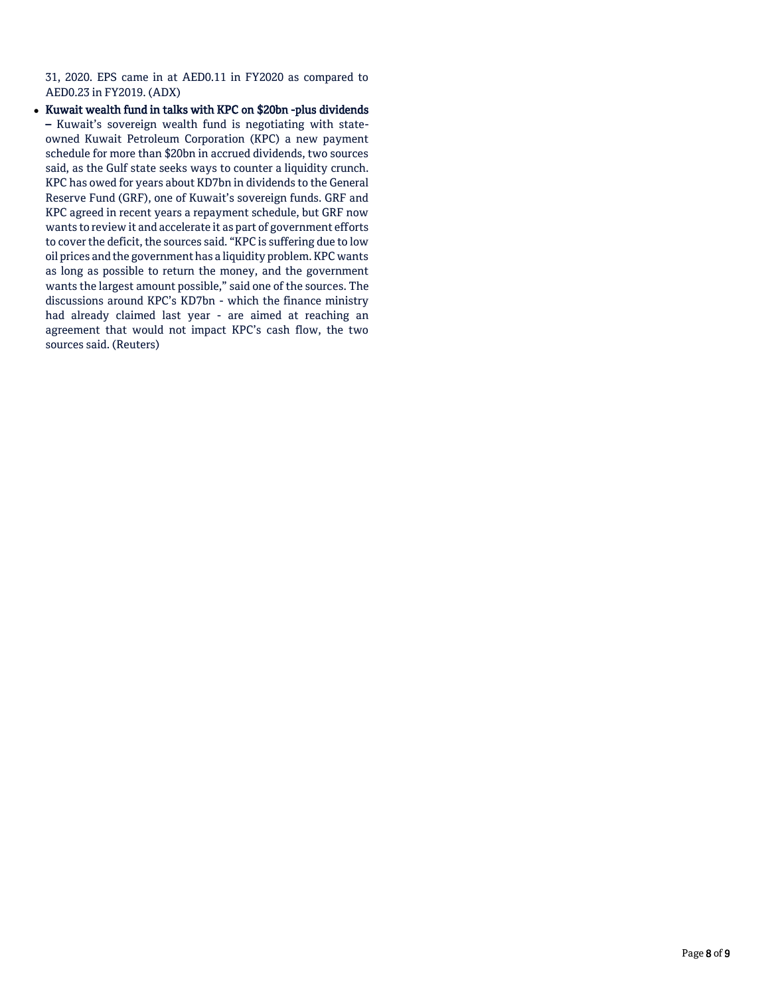31, 2020. EPS came in at AED0.11 in FY2020 as compared to AED0.23 in FY2019. (ADX)

• Kuwait wealth fund in talks with KPC on \$20bn -plus dividends – Kuwait's sovereign wealth fund is negotiating with stateowned Kuwait Petroleum Corporation (KPC) a new payment schedule for more than \$20bn in accrued dividends, two sources said, as the Gulf state seeks ways to counter a liquidity crunch. KPC has owed for years about KD7bn in dividends to the General Reserve Fund (GRF), one of Kuwait's sovereign funds. GRF and KPC agreed in recent years a repayment schedule, but GRF now wants to review it and accelerate it as part of government efforts to cover the deficit, the sources said. "KPC is suffering due to low oil prices and the government has a liquidity problem. KPC wants as long as possible to return the money, and the government wants the largest amount possible," said one of the sources. The discussions around KPC's KD7bn - which the finance ministry had already claimed last year - are aimed at reaching an agreement that would not impact KPC's cash flow, the two sources said. (Reuters)